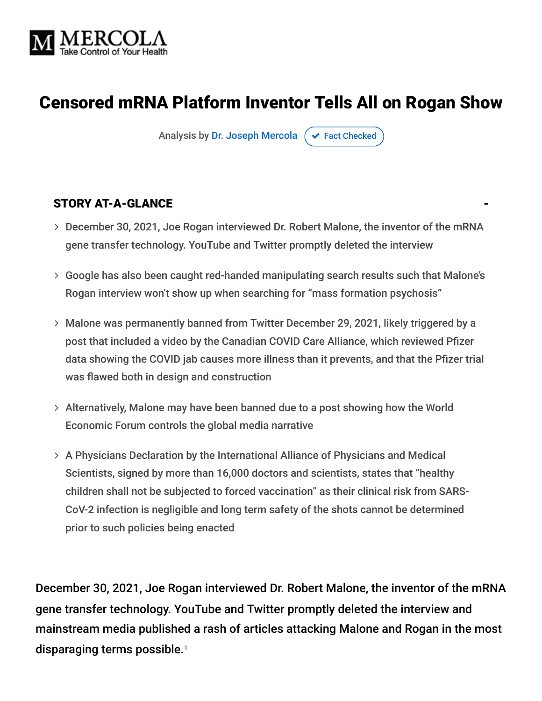

# Censored mRNA Platform Inventor Tells All on Rogan Show

Analysis by [Dr. Joseph Mercola](https://www.mercola.com/forms/background.htm)  $\sigma$  [Fact Checked](javascript:void(0))

#### STORY AT-A-GLANCE

- December 30, 2021, Joe Rogan interviewed Dr. Robert Malone, the inventor of the mRNA gene transfer technology. YouTube and Twitter promptly deleted the interview
- Google has also been caught red-handed manipulating search results such that Malone's Rogan interview won't show up when searching for "mass formation psychosis"
- Malone was permanently banned from Twitter December 29, 2021, likely triggered by a post that included a video by the Canadian COVID Care Alliance, which reviewed Pfizer data showing the COVID jab causes more illness than it prevents, and that the Pfizer trial was flawed both in design and construction
- Alternatively, Malone may have been banned due to a post showing how the World Economic Forum controls the global media narrative
- A Physicians Declaration by the International Alliance of Physicians and Medical Scientists, signed by more than 16,000 doctors and scientists, states that "healthy children shall not be subjected to forced vaccination" as their clinical risk from SARS-CoV-2 infection is negligible and long term safety of the shots cannot be determined prior to such policies being enacted

December 30, 2021, Joe Rogan interviewed Dr. Robert Malone, the inventor of the mRNA gene transfer technology. YouTube and Twitter promptly deleted the interview and mainstream media published a rash of articles attacking Malone and Rogan in the most disparaging terms possible. 1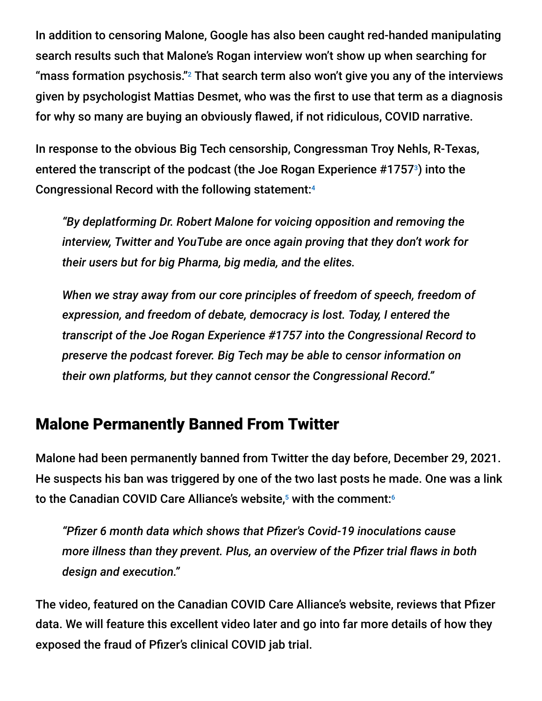In addition to censoring Malone, Google has also been caught red-handed manipulating search results such that Malone's Rogan interview won't show up when searching for "mass formation psychosis." $^2$  That search term also won't give you any of the interviews given by psychologist Mattias Desmet, who was the first to use that term as a diagnosis for why so many are buying an obviously flawed, if not ridiculous, COVID narrative.

In response to the obvious Big Tech censorship, Congressman Troy Nehls, R-Texas, entered the transcript of the podcast (the Joe Rogan Experience #1757 $\textdegree$ ) into the Congressional Record with the following statement: 4

*"By deplatforming Dr. Robert Malone for voicing opposition and removing the interview, Twitter and YouTube are once again proving that they don't work for their users but for big Pharma, big media, and the elites.*

*When we stray away from our core principles of freedom of speech, freedom of expression, and freedom of debate, democracy is lost. Today, I entered the transcript of the Joe Rogan Experience #1757 into the Congressional Record to preserve the podcast forever. Big Tech may be able to censor information on their own platforms, but they cannot censor the Congressional Record."*

# Malone Permanently Banned From Twitter

Malone had been permanently banned from Twitter the day before, December 29, 2021. He suspects his ban was triggered by one of the two last posts he made. One was a link to the Canadian COVID Care Alliance's website,<sup>5</sup> with the comment:6

*"Pfizer 6 month data which shows that Pfizer's Covid-19 inoculations cause more illness than they prevent. Plus, an overview of the Pfizer trial flaws in both design and execution."*

The video, featured on the Canadian COVID Care Alliance's website, reviews that Pfizer data. We will feature this excellent video later and go into far more details of how they exposed the fraud of Pfizer's clinical COVID jab trial.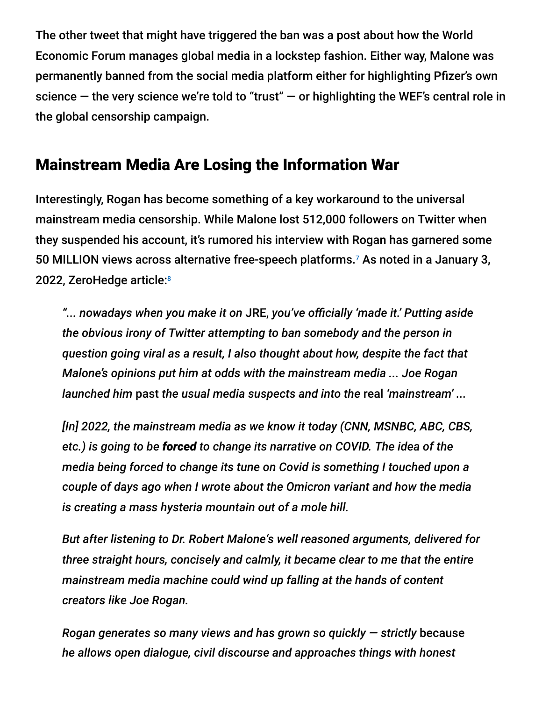The other tweet that might have triggered the ban was a post about how the World Economic Forum manages global media in a lockstep fashion. Either way, Malone was permanently banned from the social media platform either for highlighting Pfizer's own science  $-$  the very science we're told to "trust"  $-$  or highlighting the WEF's central role in the global censorship campaign.

# Mainstream Media Are Losing the Information War

Interestingly, Rogan has become something of a key workaround to the universal mainstream media censorship. While Malone lost 512,000 followers on Twitter when they suspended his account, it's rumored his interview with Rogan has garnered some 50 MILLION views across alternative free-speech platforms.<sup>7</sup> As noted in a January 3, 2022, ZeroHedge article: 8

*"... nowadays when you make it on* JRE, *you've officially 'made it.' Putting aside the obvious irony of Twitter attempting to ban somebody and the person in question going viral as a result, I also thought about how, despite the fact that Malone's opinions put him at odds with the mainstream media ... Joe Rogan launched him* past *the usual media suspects and into the* real *'mainstream' ...*

*[In] 2022, the mainstream media as we know it today (CNN, MSNBC, ABC, CBS, etc.) is going to be forced to change its narrative on COVID. The idea of the media being forced to change its tune on Covid is something I touched upon a couple of days ago when I wrote about the Omicron variant and how the media is creating a mass hysteria mountain out of a mole hill.*

*But after listening to Dr. Robert Malone's well reasoned arguments, delivered for three straight hours, concisely and calmly, it became clear to me that the entire mainstream media machine could wind up falling at the hands of content creators like Joe Rogan.*

*Rogan generates so many views and has grown so quickly — strictly* because *he allows open dialogue, civil discourse and approaches things with honest*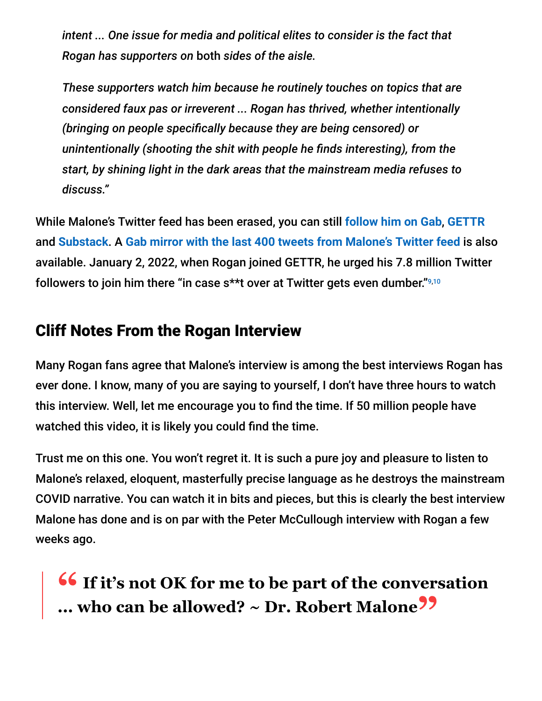*intent ... One issue for media and political elites to consider is the fact that Rogan has supporters on* both *sides of the aisle.*

*These supporters watch him because he routinely touches on topics that are considered faux pas or irreverent ... Rogan has thrived, whether intentionally (bringing on people specifically because they are being censored) or unintentionally (shooting the shit with people he finds interesting), from the start, by shining light in the dark areas that the mainstream media refuses to discuss."*

While Malone's Twitter feed has been erased, you can still **[follow him on Gab](https://gab.com/RobertMaloneMD)**, **[GETTR](https://gettr.com/user/rwmalonemd)** and **[Substack](https://rwmalonemd.substack.com/)**. A **[Gab mirror with the last 400 tweets from Malone's Twitter feed](https://gab.com/RWMaloneMD_)** is also available. January 2, 2022, when Rogan joined GETTR, he urged his 7.8 million Twitter followers to join him there "in case s\*\*t over at Twitter gets even dumber." 9,10

### Cliff Notes From the Rogan Interview

Many Rogan fans agree that Malone's interview is among the best interviews Rogan has ever done. I know, many of you are saying to yourself, I don't have three hours to watch this interview. Well, let me encourage you to find the time. If 50 million people have watched this video, it is likely you could find the time.

Trust me on this one. You won't regret it. It is such a pure joy and pleasure to listen to Malone's relaxed, eloquent, masterfully precise language as he destroys the mainstream COVID narrative. You can watch it in bits and pieces, but this is clearly the best interview Malone has done and is on par with the Peter McCullough interview with Rogan a few weeks ago.

**16** If it's not OK for me to be part of the conversation<br>
who can be allowed?  $\sim$  Dr. Robert Malone<sup>22</sup> **... who can be allowed? ~ Dr. Robert Malone"**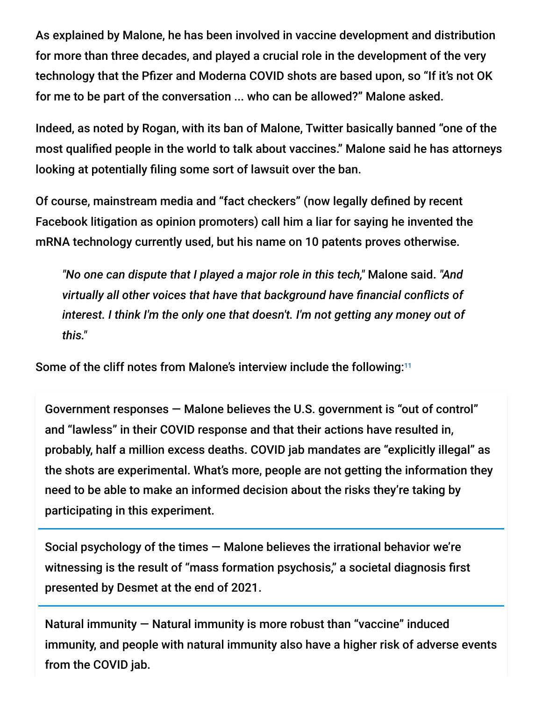As explained by Malone, he has been involved in vaccine development and distribution for more than three decades, and played a crucial role in the development of the very technology that the Pfizer and Moderna COVID shots are based upon, so "If it's not OK for me to be part of the conversation ... who can be allowed?" Malone asked.

Indeed, as noted by Rogan, with its ban of Malone, Twitter basically banned "one of the most qualified people in the world to talk about vaccines." Malone said he has attorneys looking at potentially filing some sort of lawsuit over the ban.

Of course, mainstream media and "fact checkers" (now legally defined by recent Facebook litigation as opinion promoters) call him a liar for saying he invented the mRNA technology currently used, but his name on 10 patents proves otherwise.

*"No one can dispute that I played a major role in this tech,"* Malone said. *"And virtually all other voices that have that background have financial conflicts of interest. I think I'm the only one that doesn't. I'm not getting any money out of this."*

Some of the cliff notes from Malone's interview include the following:<sup>11</sup>

Government responses — Malone believes the U.S. government is "out of control" and "lawless" in their COVID response and that their actions have resulted in, probably, half a million excess deaths. COVID jab mandates are "explicitly illegal" as the shots are experimental. What's more, people are not getting the information they need to be able to make an informed decision about the risks they're taking by participating in this experiment.

Social psychology of the times — Malone believes the irrational behavior we're witnessing is the result of "mass formation psychosis," a societal diagnosis first presented by Desmet at the end of 2021.

Natural immunity — Natural immunity is more robust than "vaccine" induced immunity, and people with natural immunity also have a higher risk of adverse events from the COVID jab.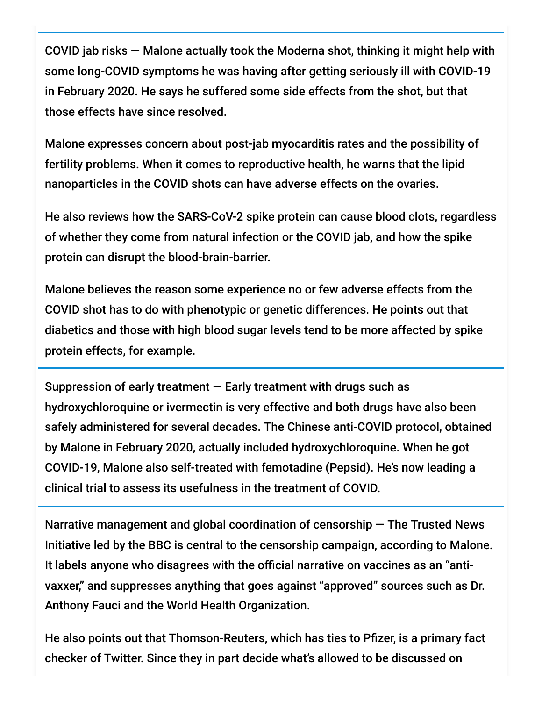COVID jab risks — Malone actually took the Moderna shot, thinking it might help with some long-COVID symptoms he was having after getting seriously ill with COVID-19 in February 2020. He says he suffered some side effects from the shot, but that those effects have since resolved.

Malone expresses concern about post-jab myocarditis rates and the possibility of fertility problems. When it comes to reproductive health, he warns that the lipid nanoparticles in the COVID shots can have adverse effects on the ovaries.

He also reviews how the SARS-CoV-2 spike protein can cause blood clots, regardless of whether they come from natural infection or the COVID jab, and how the spike protein can disrupt the blood-brain-barrier.

Malone believes the reason some experience no or few adverse effects from the COVID shot has to do with phenotypic or genetic differences. He points out that diabetics and those with high blood sugar levels tend to be more affected by spike protein effects, for example.

Suppression of early treatment  $-$  Early treatment with drugs such as hydroxychloroquine or ivermectin is very effective and both drugs have also been safely administered for several decades. The Chinese anti-COVID protocol, obtained by Malone in February 2020, actually included hydroxychloroquine. When he got COVID-19, Malone also self-treated with femotadine (Pepsid). He's now leading a clinical trial to assess its usefulness in the treatment of COVID.

Narrative management and global coordination of censorship — The Trusted News Initiative led by the BBC is central to the censorship campaign, according to Malone. It labels anyone who disagrees with the official narrative on vaccines as an "antivaxxer," and suppresses anything that goes against "approved" sources such as Dr. Anthony Fauci and the World Health Organization.

He also points out that Thomson-Reuters, which has ties to Pfizer, is a primary fact checker of Twitter. Since they in part decide what's allowed to be discussed on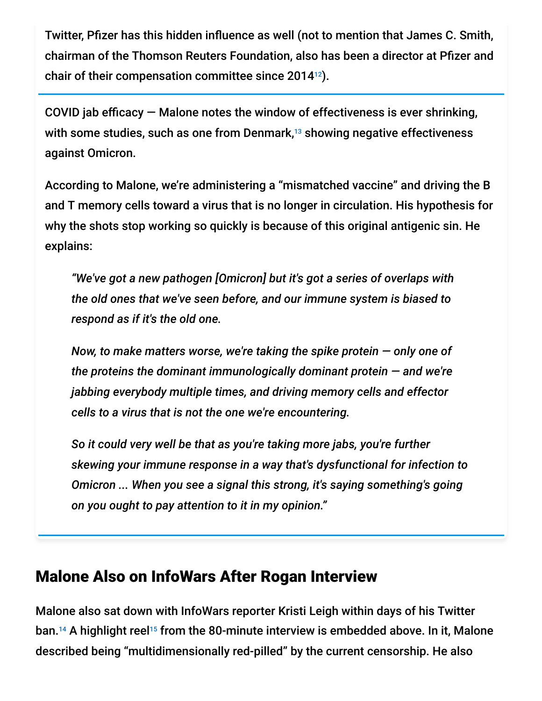Twitter, Pfizer has this hidden influence as well (not to mention that James C. Smith, chairman of the Thomson Reuters Foundation, also has been a director at Pfizer and chair of their compensation committee since 2014 $^{12}$ ).

COVID jab efficacy  $-$  Malone notes the window of effectiveness is ever shrinking, with some studies, such as one from Denmark, $^{13}$  showing negative effectiveness against Omicron.

According to Malone, we're administering a "mismatched vaccine" and driving the B and T memory cells toward a virus that is no longer in circulation. His hypothesis for why the shots stop working so quickly is because of this original antigenic sin. He explains:

*"We've got a new pathogen [Omicron] but it's got a series of overlaps with the old ones that we've seen before, and our immune system is biased to respond as if it's the old one.*

*Now, to make matters worse, we're taking the spike protein — only one of the proteins the dominant immunologically dominant protein — and we're jabbing everybody multiple times, and driving memory cells and effector cells to a virus that is not the one we're encountering.*

*So it could very well be that as you're taking more jabs, you're further skewing your immune response in a way that's dysfunctional for infection to Omicron ... When you see a signal this strong, it's saying something's going on you ought to pay attention to it in my opinion."*

### Malone Also on InfoWars After Rogan Interview

Malone also sat down with InfoWars reporter Kristi Leigh within days of his Twitter ban.<sup>14</sup> A highlight reel<sup>15</sup> from the 80-minute interview is embedded above. In it, Malone described being "multidimensionally red-pilled" by the current censorship. He also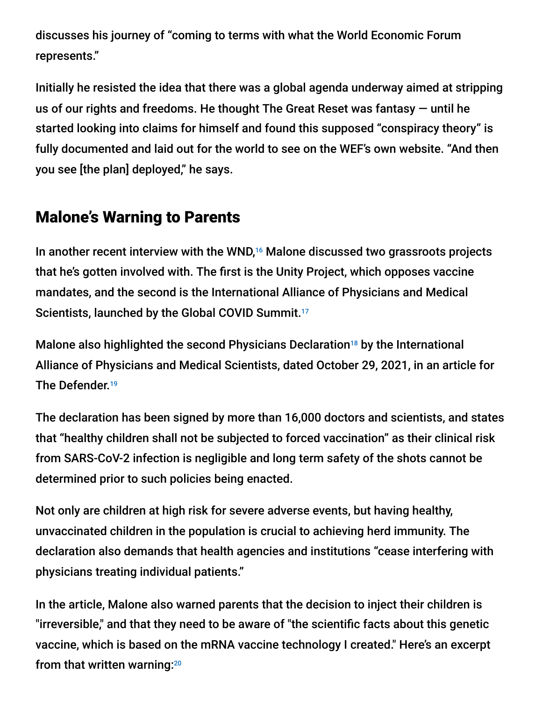discusses his journey of "coming to terms with what the World Economic Forum represents."

Initially he resisted the idea that there was a global agenda underway aimed at stripping us of our rights and freedoms. He thought The Great Reset was fantasy — until he started looking into claims for himself and found this supposed "conspiracy theory" is fully documented and laid out for the world to see on the WEF's own website. "And then you see [the plan] deployed," he says.

# Malone's Warning to Parents

In another recent interview with the WND,<sup>16</sup> Malone discussed two grassroots projects that he's gotten involved with. The first is the Unity Project, which opposes vaccine mandates, and the second is the International Alliance of Physicians and Medical Scientists, launched by the Global COVID Summit.<sup>17</sup>

Malone also highlighted the second Physicians Declaration<sup>18</sup> by the International Alliance of Physicians and Medical Scientists, dated October 29, 2021, in an article for The Defender. 19

The declaration has been signed by more than 16,000 doctors and scientists, and states that "healthy children shall not be subjected to forced vaccination" as their clinical risk from SARS-CoV-2 infection is negligible and long term safety of the shots cannot be determined prior to such policies being enacted.

Not only are children at high risk for severe adverse events, but having healthy, unvaccinated children in the population is crucial to achieving herd immunity. The declaration also demands that health agencies and institutions "cease interfering with physicians treating individual patients."

In the article, Malone also warned parents that the decision to inject their children is "irreversible," and that they need to be aware of "the scientific facts about this genetic vaccine, which is based on the mRNA vaccine technology I created." Here's an excerpt from that written warning:<sup>20</sup>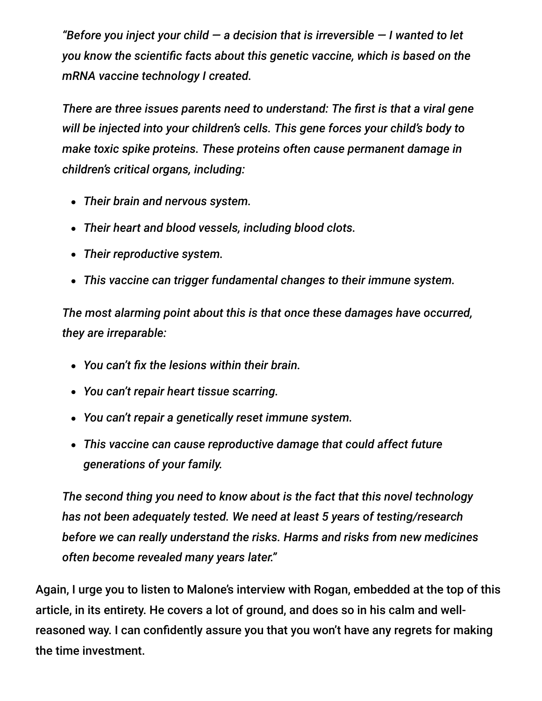*"Before you inject your child — a decision that is irreversible — I wanted to let you know the scientific facts about this genetic vaccine, which is based on the mRNA vaccine technology I created.*

*There are three issues parents need to understand: The first is that a viral gene will be injected into your children's cells. This gene forces your child's body to make toxic spike proteins. These proteins often cause permanent damage in children's critical organs, including:*

- *Their brain and nervous system.*
- *Their heart and blood vessels, including blood clots.*
- *Their reproductive system.*
- *This vaccine can trigger fundamental changes to their immune system.*

*The most alarming point about this is that once these damages have occurred, they are irreparable:*

- *You can't fix the lesions within their brain.*
- *You can't repair heart tissue scarring.*
- *You can't repair a genetically reset immune system.*
- *This vaccine can cause reproductive damage that could affect future generations of your family.*

*The second thing you need to know about is the fact that this novel technology has not been adequately tested. We need at least 5 years of testing/research before we can really understand the risks. Harms and risks from new medicines often become revealed many years later."*

Again, I urge you to listen to Malone's interview with Rogan, embedded at the top of this article, in its entirety. He covers a lot of ground, and does so in his calm and wellreasoned way. I can confidently assure you that you won't have any regrets for making the time investment.